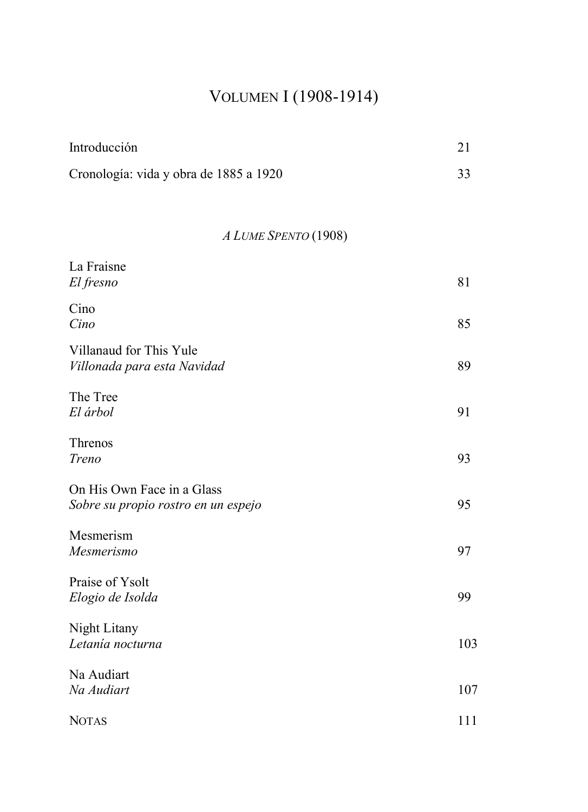# VOLUMEN I (1908-1914)

| Introducción                                                      | 21  |
|-------------------------------------------------------------------|-----|
| Cronología: vida y obra de 1885 a 1920                            | 33  |
|                                                                   |     |
| A LUME SPENTO (1908)                                              |     |
| La Fraisne<br>El fresno                                           | 81  |
| Cino<br>Cino                                                      | 85  |
| Villanaud for This Yule<br>Villonada para esta Navidad            | 89  |
| The Tree<br>El árbol                                              | 91  |
| Threnos<br>Treno                                                  | 93  |
| On His Own Face in a Glass<br>Sobre su propio rostro en un espejo | 95  |
| Mesmerism<br>Mesmerismo                                           | 97  |
| Praise of Ysolt<br>Elogio de Isolda                               | 99  |
| Night Litany<br>Letanía nocturna                                  | 103 |
| Na Audiart<br>Na Audiart                                          | 107 |
| <b>NOTAS</b>                                                      | 111 |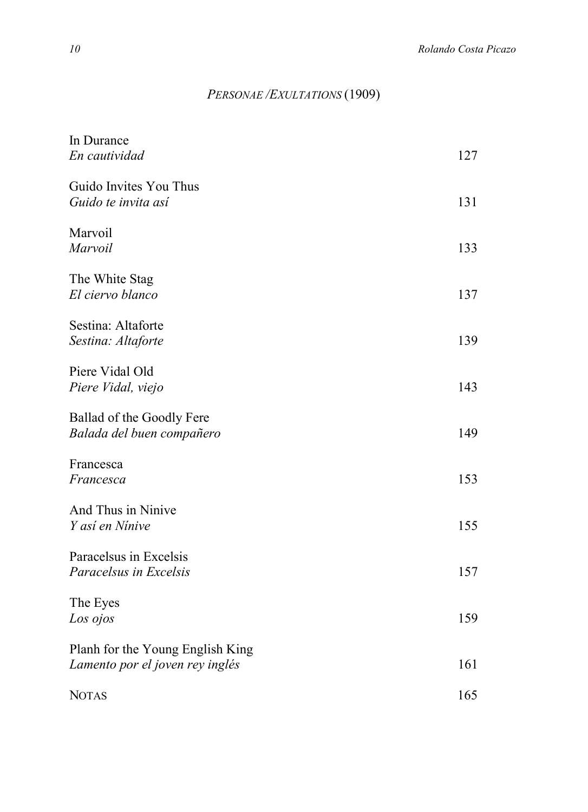#### *PERSONAE /EXULTATIONS* (1909)

| In Durance<br>En cautividad                                         | 127 |
|---------------------------------------------------------------------|-----|
| Guido Invites You Thus<br>Guido te invita así                       | 131 |
| Marvoil<br>Marvoil                                                  | 133 |
| The White Stag<br>El ciervo blanco                                  | 137 |
| Sestina: Altaforte<br>Sestina: Altaforte                            | 139 |
| Piere Vidal Old<br>Piere Vidal, viejo                               | 143 |
| Ballad of the Goodly Fere<br>Balada del buen compañero              | 149 |
| Francesca<br>Francesca                                              | 153 |
| And Thus in Ninive<br>Y así en Nínive                               | 155 |
| Paracelsus in Excelsis<br>Paracelsus in Excelsis                    | 157 |
| The Eyes<br>Los ojos                                                | 159 |
| Planh for the Young English King<br>Lamento por el joven rey inglés | 161 |
| <b>NOTAS</b>                                                        | 165 |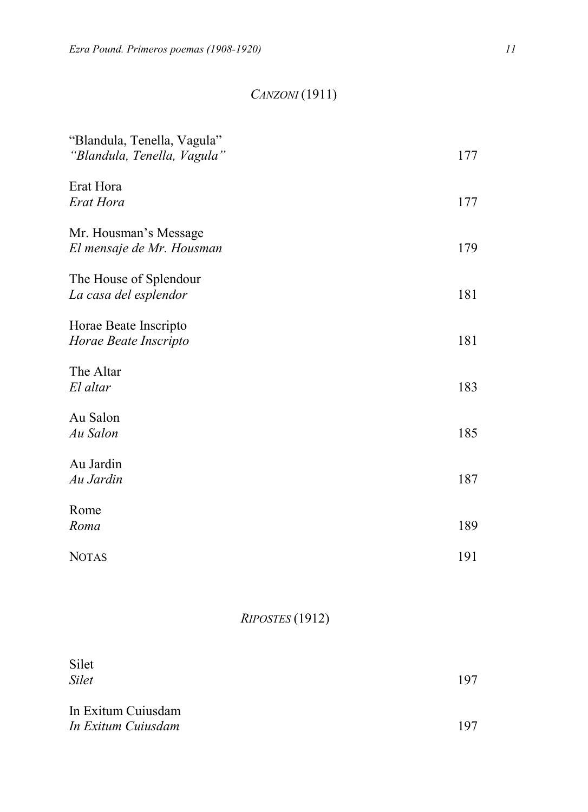## *CANZONI* (1911)

| "Blandula, Tenella, Vagula"<br>"Blandula, Tenella, Vagula" | 177 |
|------------------------------------------------------------|-----|
| Erat Hora<br>Erat Hora                                     | 177 |
| Mr. Housman's Message<br>El mensaje de Mr. Housman         | 179 |
| The House of Splendour<br>La casa del esplendor            | 181 |
| Horae Beate Inscripto<br>Horae Beate Inscripto             | 181 |
| The Altar<br>El altar                                      | 183 |
| Au Salon<br>Au Salon                                       | 185 |
| Au Jardin<br>Au Jardin                                     | 187 |
| Rome<br>Roma                                               | 189 |
| <b>NOTAS</b>                                               | 191 |

*RIPOSTES* (1912)

| Silet<br><b>Silet</b>                    | 197 |
|------------------------------------------|-----|
| In Exitum Cuiusdam<br>In Exitum Cuiusdam | 197 |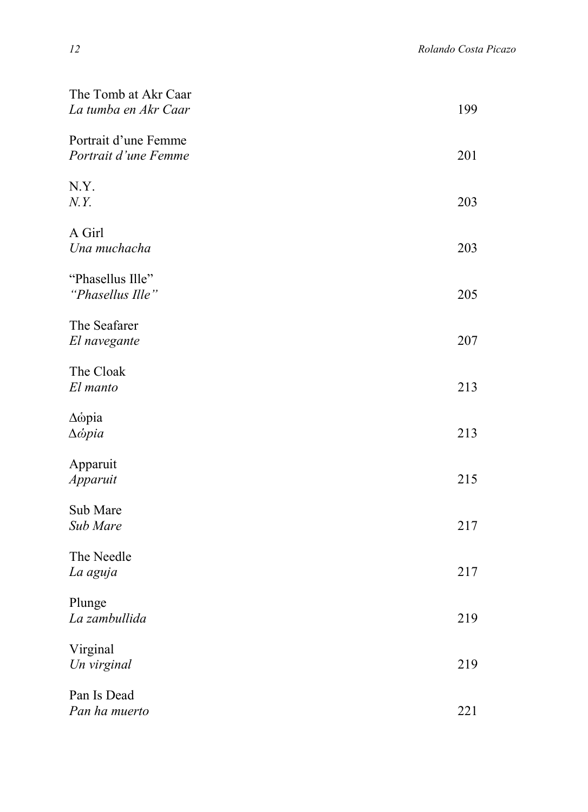| The Tomb at Akr Caar<br>La tumba en Akr Caar           | 199 |
|--------------------------------------------------------|-----|
| Portrait d'une Femme<br>Portrait d'une Femme           | 201 |
| N.Y.<br>N.Y.                                           | 203 |
| A Girl<br>Una muchacha                                 | 203 |
| "Phasellus Ille"<br>"Phasellus Ille"                   | 205 |
| The Seafarer<br>El navegante                           | 207 |
| The Cloak<br>El manto                                  | 213 |
| $\Delta \dot{\omega}$ pia<br>$\Delta \dot{\omega}$ pia | 213 |
| Apparuit<br>Apparuit                                   | 215 |
| Sub Mare<br>Sub Mare                                   | 217 |
| The Needle<br>La aguja                                 | 217 |
| Plunge<br>La zambullida                                | 219 |
| Virginal<br>Un virginal                                | 219 |
| Pan Is Dead<br>Pan ha muerto                           | 221 |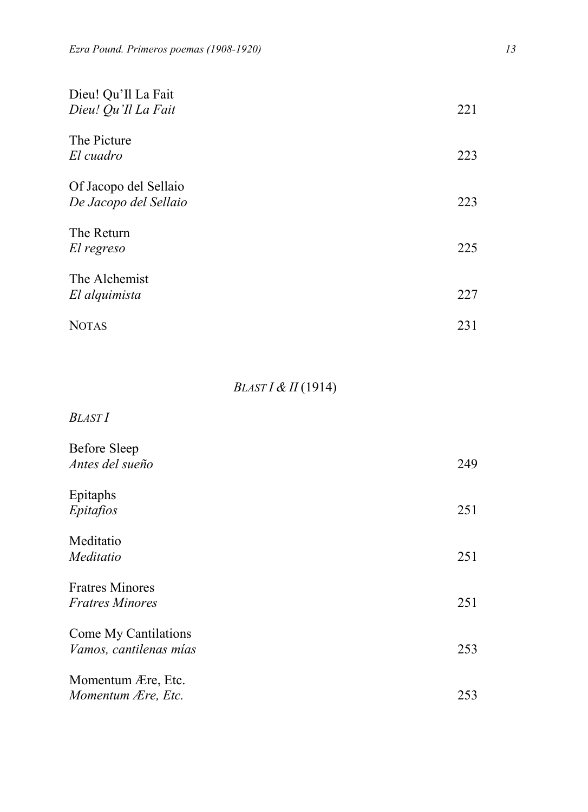| Dieu! Qu'Il La Fait<br>Dieu! Qu'Il La Fait     | 221 |
|------------------------------------------------|-----|
| The Picture<br>El cuadro                       | 223 |
| Of Jacopo del Sellaio<br>De Jacopo del Sellaio | 223 |
| The Return<br>El regreso                       | 225 |
| The Alchemist<br>El alquimista                 | 227 |
| <b>NOTAS</b>                                   | 231 |

## *BLAST I & II* (1914)

*BLAST I*

| <b>Before Sleep</b><br>Antes del sueño           | 249 |
|--------------------------------------------------|-----|
| Epitaphs<br>Epitafios                            | 251 |
| Meditatio<br>Meditatio                           | 251 |
| <b>Fratres Minores</b><br><i>Fratres Minores</i> | 251 |
| Come My Cantilations<br>Vamos, cantilenas mías   | 253 |
| Momentum Ære, Etc.<br>Momentum Ære, Etc.         | 253 |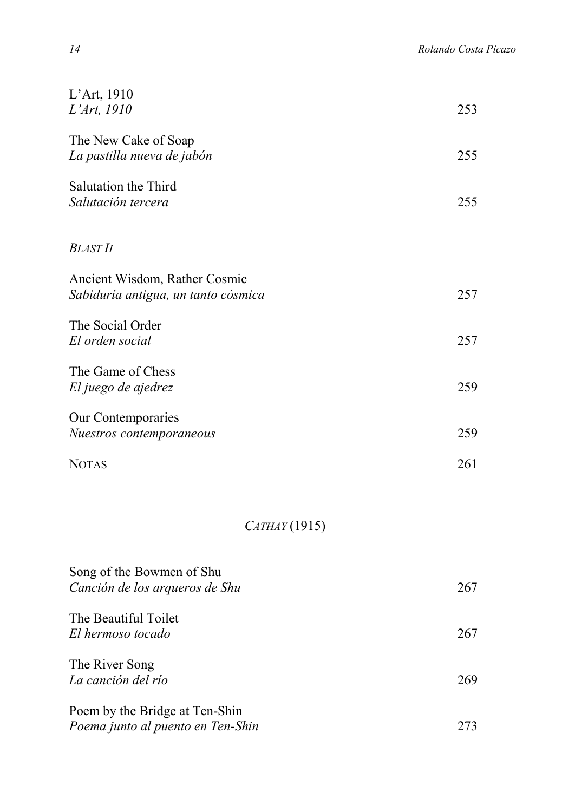| L'Art, $1910$<br>L'Art, 1910                                         | 253 |
|----------------------------------------------------------------------|-----|
| The New Cake of Soap<br>La pastilla nueva de jabón                   | 255 |
| Salutation the Third<br>Salutación tercera                           | 255 |
| <b>BLAST II</b>                                                      |     |
| Ancient Wisdom, Rather Cosmic<br>Sabiduría antigua, un tanto cósmica | 257 |
| The Social Order<br>El orden social                                  | 257 |
| The Game of Chess<br>El juego de ajedrez                             | 259 |
| Our Contemporaries<br>Nuestros contemporaneous                       | 259 |
| <b>NOTAS</b>                                                         | 261 |

## *CATHAY* (1915)

| Song of the Bowmen of Shu<br>Canción de los arqueros de Shu         | 267 |
|---------------------------------------------------------------------|-----|
| The Beautiful Toilet<br>El hermoso tocado                           | 267 |
| The River Song<br>La canción del río                                | 269 |
| Poem by the Bridge at Ten-Shin<br>Poema junto al puento en Ten-Shin | 273 |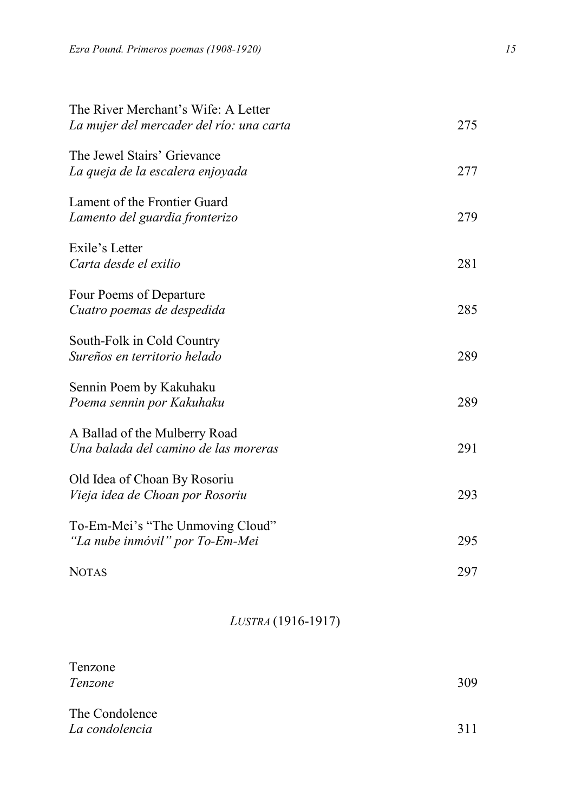| The River Merchant's Wife: A Letter<br>La mujer del mercader del río: una carta | 275 |
|---------------------------------------------------------------------------------|-----|
| The Jewel Stairs' Grievance<br>La queja de la escalera enjoyada                 | 277 |
| Lament of the Frontier Guard<br>Lamento del guardia fronterizo                  | 279 |
| Exile's Letter<br>Carta desde el exilio                                         | 281 |
| Four Poems of Departure<br>Cuatro poemas de despedida                           | 285 |
| South-Folk in Cold Country<br>Sureños en territorio helado                      | 289 |
| Sennin Poem by Kakuhaku<br>Poema sennin por Kakuhaku                            | 289 |
| A Ballad of the Mulberry Road<br>Una balada del camino de las moreras           | 291 |
| Old Idea of Choan By Rosoriu<br>Vieja idea de Choan por Rosoriu                 | 293 |
| To-Em-Mei's "The Unmoving Cloud"<br>"La nube inmóvil" por To-Em-Mei             | 295 |
| <b>NOTAS</b>                                                                    | 297 |

#### *LUSTRA* (1916-1917)

| Tenzone<br>Tenzone               | 309 |
|----------------------------------|-----|
| The Condolence<br>La condolencia | 311 |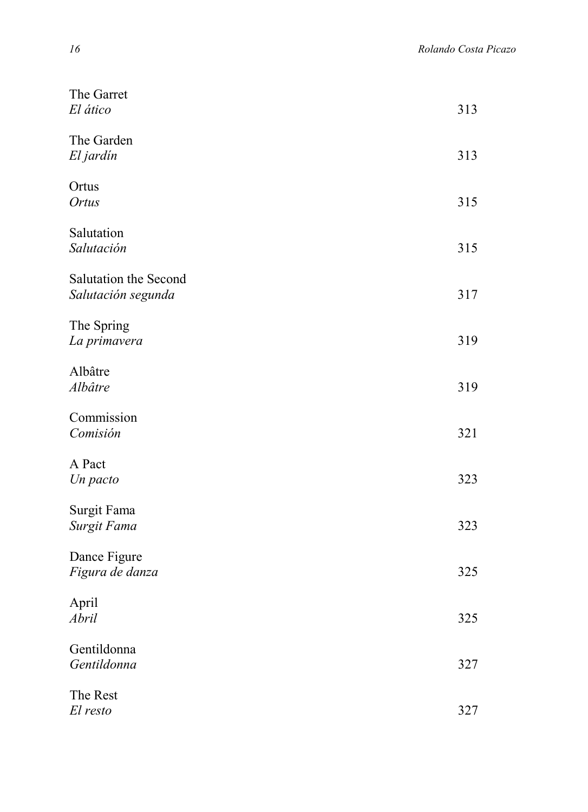| The Garret<br>El ático                      | 313 |
|---------------------------------------------|-----|
| The Garden<br>El jardín                     | 313 |
| Ortus<br>Ortus                              | 315 |
| Salutation<br>Salutación                    | 315 |
| Salutation the Second<br>Salutación segunda | 317 |
| The Spring<br>La primavera                  | 319 |
| Albâtre<br>Albâtre                          | 319 |
| Commission<br>Comisión                      | 321 |
| A Pact<br>Un pacto                          | 323 |
| Surgit Fama<br>Surgit Fama                  | 323 |
| Dance Figure<br>Figura de danza             | 325 |
| April<br>Abril                              | 325 |
| Gentildonna<br>Gentildonna                  | 327 |
| The Rest<br>El resto                        | 327 |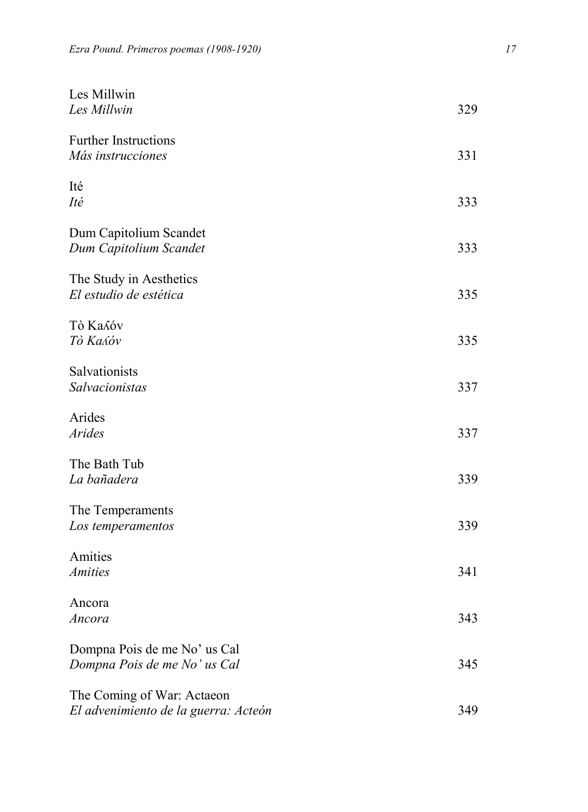| Les Millwin<br>Les Millwin                                         | 329 |
|--------------------------------------------------------------------|-----|
| Further Instructions<br>Más instrucciones                          | 331 |
| Ité<br>Ité                                                         | 333 |
| Dum Capitolium Scandet<br>Dum Capitolium Scandet                   | 333 |
| The Study in Aesthetics<br>El estudio de estética                  | 335 |
| <b>Tò Kasóv</b><br>Τὸ Καλόν                                        | 335 |
| Salvationists<br>Salvacionistas                                    | 337 |
| Arides<br><b>Arides</b>                                            | 337 |
| The Bath Tub<br>La bañadera                                        | 339 |
| The Temperaments<br>Los temperamentos                              | 339 |
| Amities<br><b>Amities</b>                                          | 341 |
| Ancora<br>Ancora                                                   | 343 |
| Dompna Pois de me No' us Cal<br>Dompna Pois de me No' us Cal       | 345 |
| The Coming of War: Actaeon<br>El advenimiento de la guerra: Acteón | 349 |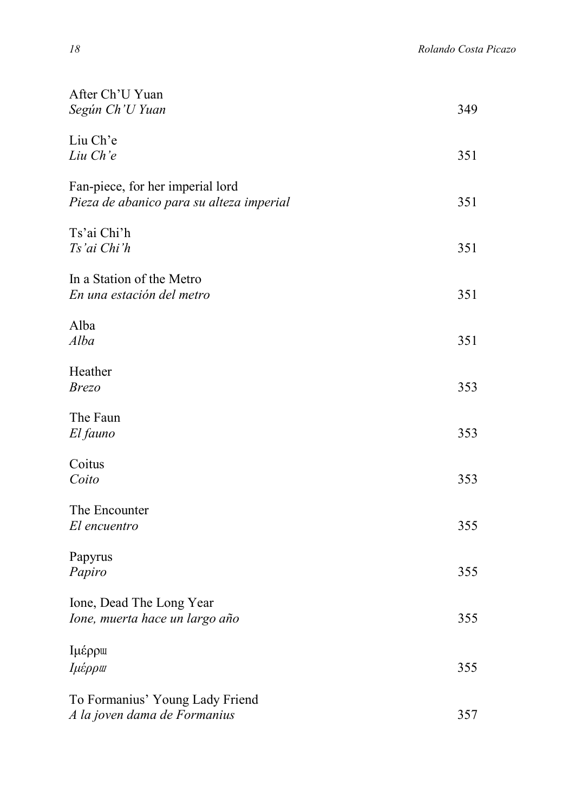| After Ch'U Yuan<br>Según Ch'U Yuan                                           | 349 |
|------------------------------------------------------------------------------|-----|
| Liu Ch'e<br>Liu Ch'e                                                         | 351 |
| Fan-piece, for her imperial lord<br>Pieza de abanico para su alteza imperial | 351 |
| Ts'ai Chi'h<br>Ts'ai Chi'h                                                   | 351 |
| In a Station of the Metro<br>En una estación del metro                       | 351 |
| Alba<br>Alba                                                                 | 351 |
| Heather<br><b>Brezo</b>                                                      | 353 |
| The Faun<br>El fauno                                                         | 353 |
| Coitus<br>Coito                                                              | 353 |
| The Encounter<br>El encuentro                                                | 355 |
| Papyrus<br>Papiro                                                            | 355 |
| Ione, Dead The Long Year<br>Ione, muerta hace un largo año                   | 355 |
| Ιμέρρω<br>Ιμέρρω                                                             | 355 |
| To Formanius' Young Lady Friend<br>A la joven dama de Formanius              | 357 |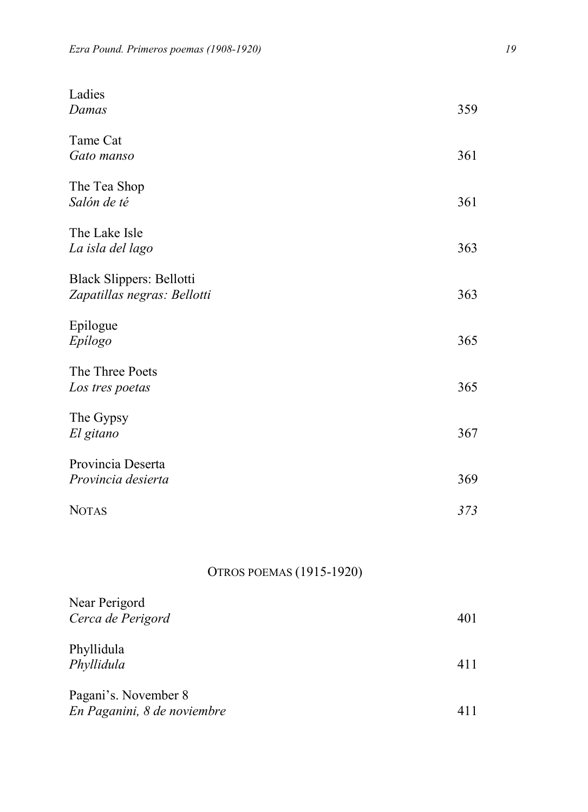| Ladies<br>Damas                                         | 359 |
|---------------------------------------------------------|-----|
| Tame Cat<br>Gato manso                                  | 361 |
| The Tea Shop<br>Salón de té                             | 361 |
| The Lake Isle<br>La isla del lago                       | 363 |
| Black Slippers: Bellotti<br>Zapatillas negras: Bellotti | 363 |
| Epilogue<br>Epilogo                                     | 365 |
| The Three Poets<br>Los tres poetas                      | 365 |
| The Gypsy<br>El gitano                                  | 367 |
| Provincia Deserta<br>Provincia desierta                 | 369 |
| <b>NOTAS</b>                                            | 373 |

#### OTROS POEMAS (1915-1920)

| Near Perigord<br>Cerca de Perigord                  | 401 |
|-----------------------------------------------------|-----|
| Phyllidula<br>Phyllidula                            | 411 |
| Pagani's. November 8<br>En Paganini, 8 de noviembre | 411 |